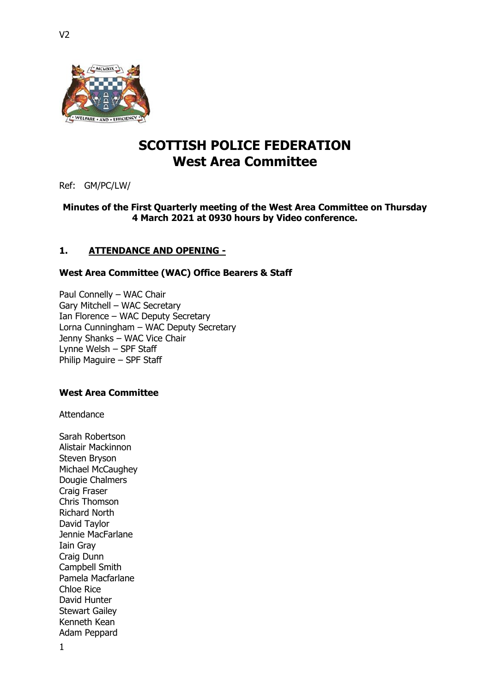

# **SCOTTISH POLICE FEDERATION West Area Committee**

Ref: GM/PC/LW/

### **Minutes of the First Quarterly meeting of the West Area Committee on Thursday 4 March 2021 at 0930 hours by Video conference.**

# **1. ATTENDANCE AND OPENING -**

### **West Area Committee (WAC) Office Bearers & Staff**

Paul Connelly – WAC Chair Gary Mitchell – WAC Secretary Ian Florence – WAC Deputy Secretary Lorna Cunningham – WAC Deputy Secretary Jenny Shanks – WAC Vice Chair Lynne Welsh – SPF Staff Philip Maguire – SPF Staff

# **West Area Committee**

Attendance

1 Sarah Robertson Alistair Mackinnon Steven Bryson Michael McCaughey Dougie Chalmers Craig Fraser Chris Thomson Richard North David Taylor Jennie MacFarlane Iain Gray Craig Dunn Campbell Smith Pamela Macfarlane Chloe Rice David Hunter Stewart Gailey Kenneth Kean Adam Peppard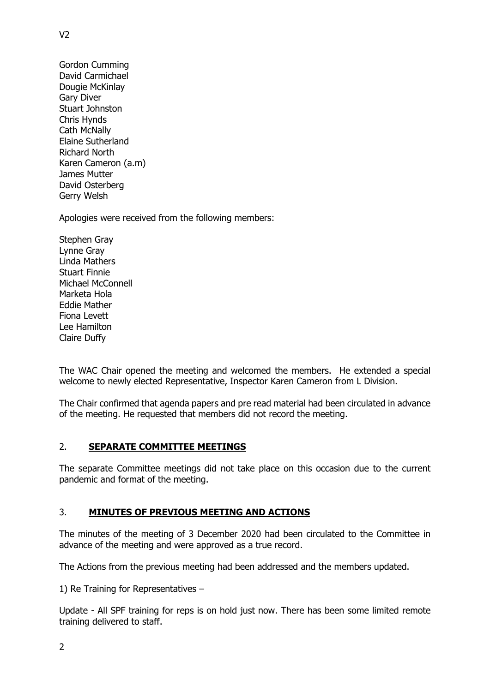Gordon Cumming David Carmichael Dougie McKinlay Gary Diver Stuart Johnston Chris Hynds Cath McNally Elaine Sutherland Richard North Karen Cameron (a.m) James Mutter David Osterberg Gerry Welsh

 $V<sub>2</sub>$ 

Apologies were received from the following members:

Stephen Gray Lynne Gray Linda Mathers Stuart Finnie Michael McConnell Marketa Hola Eddie Mather Fiona Levett Lee Hamilton Claire Duffy

The WAC Chair opened the meeting and welcomed the members. He extended a special welcome to newly elected Representative, Inspector Karen Cameron from L Division.

The Chair confirmed that agenda papers and pre read material had been circulated in advance of the meeting. He requested that members did not record the meeting.

### 2. **SEPARATE COMMITTEE MEETINGS**

The separate Committee meetings did not take place on this occasion due to the current pandemic and format of the meeting.

### 3. **MINUTES OF PREVIOUS MEETING AND ACTIONS**

The minutes of the meeting of 3 December 2020 had been circulated to the Committee in advance of the meeting and were approved as a true record.

The Actions from the previous meeting had been addressed and the members updated.

1) Re Training for Representatives –

Update - All SPF training for reps is on hold just now. There has been some limited remote training delivered to staff.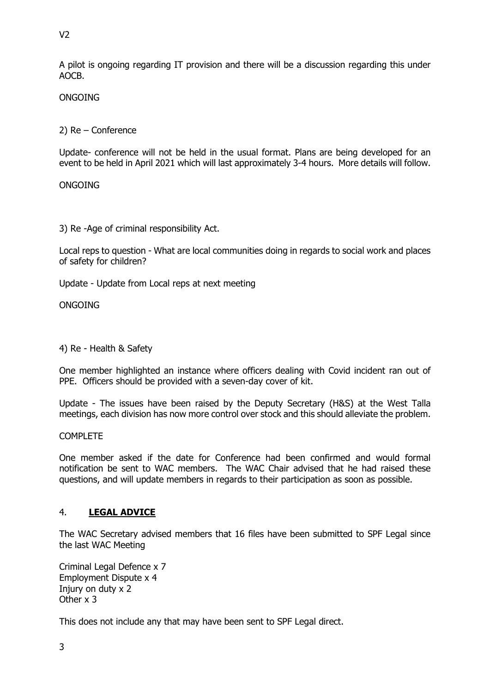A pilot is ongoing regarding IT provision and there will be a discussion regarding this under AOCB.

**ONGOING** 

2) Re – Conference

Update- conference will not be held in the usual format. Plans are being developed for an event to be held in April 2021 which will last approximately 3-4 hours. More details will follow.

ONGOING

3) Re -Age of criminal responsibility Act.

Local reps to question - What are local communities doing in regards to social work and places of safety for children?

Update - Update from Local reps at next meeting

**ONGOING** 

4) Re - Health & Safety

One member highlighted an instance where officers dealing with Covid incident ran out of PPE. Officers should be provided with a seven-day cover of kit.

Update - The issues have been raised by the Deputy Secretary (H&S) at the West Talla meetings, each division has now more control over stock and this should alleviate the problem.

**COMPLETE** 

One member asked if the date for Conference had been confirmed and would formal notification be sent to WAC members. The WAC Chair advised that he had raised these questions, and will update members in regards to their participation as soon as possible.

### 4. **LEGAL ADVICE**

The WAC Secretary advised members that 16 files have been submitted to SPF Legal since the last WAC Meeting

Criminal Legal Defence x 7 Employment Dispute x 4 Injury on duty x 2 Other x 3

This does not include any that may have been sent to SPF Legal direct.

 $V<sub>2</sub>$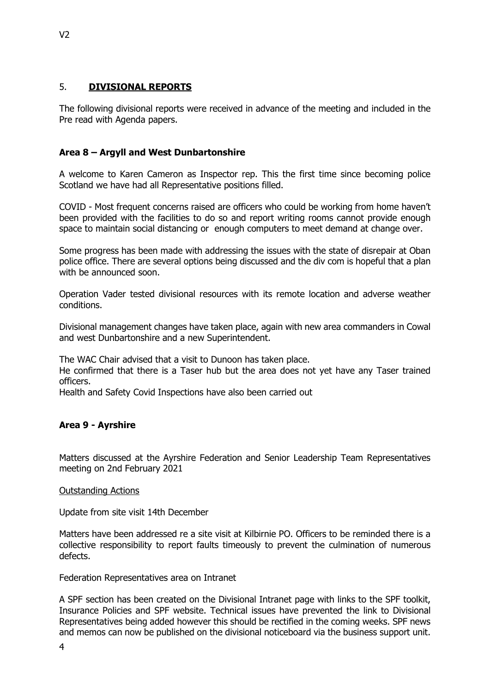# 5. **DIVISIONAL REPORTS**

The following divisional reports were received in advance of the meeting and included in the Pre read with Agenda papers.

# **Area 8 – Argyll and West Dunbartonshire**

A welcome to Karen Cameron as Inspector rep. This the first time since becoming police Scotland we have had all Representative positions filled.

COVID - Most frequent concerns raised are officers who could be working from home haven't been provided with the facilities to do so and report writing rooms cannot provide enough space to maintain social distancing or enough computers to meet demand at change over.

Some progress has been made with addressing the issues with the state of disrepair at Oban police office. There are several options being discussed and the div com is hopeful that a plan with be announced soon.

Operation Vader tested divisional resources with its remote location and adverse weather conditions.

Divisional management changes have taken place, again with new area commanders in Cowal and west Dunbartonshire and a new Superintendent.

The WAC Chair advised that a visit to Dunoon has taken place.

He confirmed that there is a Taser hub but the area does not yet have any Taser trained officers.

Health and Safety Covid Inspections have also been carried out

# **Area 9 - Ayrshire**

Matters discussed at the Ayrshire Federation and Senior Leadership Team Representatives meeting on 2nd February 2021

### Outstanding Actions

Update from site visit 14th December

Matters have been addressed re a site visit at Kilbirnie PO. Officers to be reminded there is a collective responsibility to report faults timeously to prevent the culmination of numerous defects.

Federation Representatives area on Intranet

A SPF section has been created on the Divisional Intranet page with links to the SPF toolkit, Insurance Policies and SPF website. Technical issues have prevented the link to Divisional Representatives being added however this should be rectified in the coming weeks. SPF news and memos can now be published on the divisional noticeboard via the business support unit.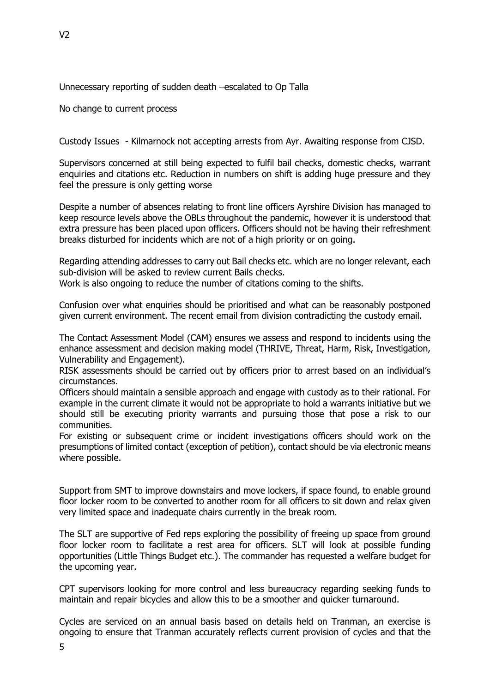Unnecessary reporting of sudden death –escalated to Op Talla

No change to current process

Custody Issues - Kilmarnock not accepting arrests from Ayr. Awaiting response from CJSD.

Supervisors concerned at still being expected to fulfil bail checks, domestic checks, warrant enquiries and citations etc. Reduction in numbers on shift is adding huge pressure and they feel the pressure is only getting worse

Despite a number of absences relating to front line officers Ayrshire Division has managed to keep resource levels above the OBLs throughout the pandemic, however it is understood that extra pressure has been placed upon officers. Officers should not be having their refreshment breaks disturbed for incidents which are not of a high priority or on going.

Regarding attending addresses to carry out Bail checks etc. which are no longer relevant, each sub-division will be asked to review current Bails checks.

Work is also ongoing to reduce the number of citations coming to the shifts.

Confusion over what enquiries should be prioritised and what can be reasonably postponed given current environment. The recent email from division contradicting the custody email.

The Contact Assessment Model (CAM) ensures we assess and respond to incidents using the enhance assessment and decision making model (THRIVE, Threat, Harm, Risk, Investigation, Vulnerability and Engagement).

RISK assessments should be carried out by officers prior to arrest based on an individual's circumstances.

Officers should maintain a sensible approach and engage with custody as to their rational. For example in the current climate it would not be appropriate to hold a warrants initiative but we should still be executing priority warrants and pursuing those that pose a risk to our communities.

For existing or subsequent crime or incident investigations officers should work on the presumptions of limited contact (exception of petition), contact should be via electronic means where possible.

Support from SMT to improve downstairs and move lockers, if space found, to enable ground floor locker room to be converted to another room for all officers to sit down and relax given very limited space and inadequate chairs currently in the break room.

The SLT are supportive of Fed reps exploring the possibility of freeing up space from ground floor locker room to facilitate a rest area for officers. SLT will look at possible funding opportunities (Little Things Budget etc.). The commander has requested a welfare budget for the upcoming year.

CPT supervisors looking for more control and less bureaucracy regarding seeking funds to maintain and repair bicycles and allow this to be a smoother and quicker turnaround.

Cycles are serviced on an annual basis based on details held on Tranman, an exercise is ongoing to ensure that Tranman accurately reflects current provision of cycles and that the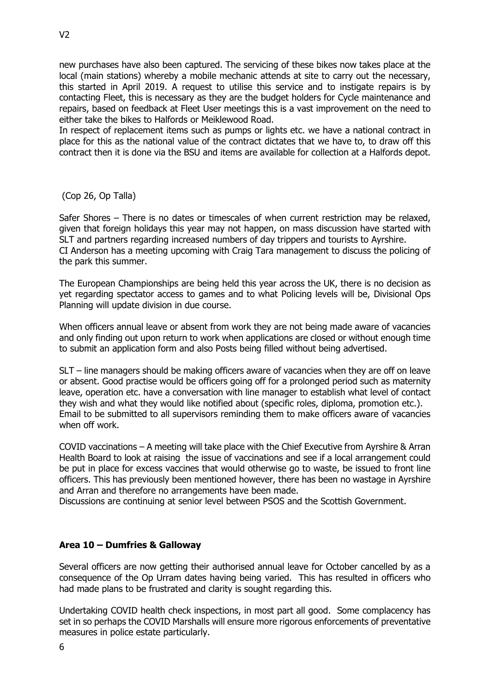new purchases have also been captured. The servicing of these bikes now takes place at the local (main stations) whereby a mobile mechanic attends at site to carry out the necessary, this started in April 2019. A request to utilise this service and to instigate repairs is by contacting Fleet, this is necessary as they are the budget holders for Cycle maintenance and repairs, based on feedback at Fleet User meetings this is a vast improvement on the need to either take the bikes to Halfords or Meiklewood Road.

In respect of replacement items such as pumps or lights etc. we have a national contract in place for this as the national value of the contract dictates that we have to, to draw off this contract then it is done via the BSU and items are available for collection at a Halfords depot.

(Cop 26, Op Talla)

Safer Shores – There is no dates or timescales of when current restriction may be relaxed, given that foreign holidays this year may not happen, on mass discussion have started with SLT and partners regarding increased numbers of day trippers and tourists to Ayrshire. CI Anderson has a meeting upcoming with Craig Tara management to discuss the policing of the park this summer.

The European Championships are being held this year across the UK, there is no decision as yet regarding spectator access to games and to what Policing levels will be, Divisional Ops Planning will update division in due course.

When officers annual leave or absent from work they are not being made aware of vacancies and only finding out upon return to work when applications are closed or without enough time to submit an application form and also Posts being filled without being advertised.

SLT – line managers should be making officers aware of vacancies when they are off on leave or absent. Good practise would be officers going off for a prolonged period such as maternity leave, operation etc. have a conversation with line manager to establish what level of contact they wish and what they would like notified about (specific roles, diploma, promotion etc.). Email to be submitted to all supervisors reminding them to make officers aware of vacancies when off work.

COVID vaccinations – A meeting will take place with the Chief Executive from Ayrshire & Arran Health Board to look at raising the issue of vaccinations and see if a local arrangement could be put in place for excess vaccines that would otherwise go to waste, be issued to front line officers. This has previously been mentioned however, there has been no wastage in Ayrshire and Arran and therefore no arrangements have been made.

Discussions are continuing at senior level between PSOS and the Scottish Government.

# **Area 10 – Dumfries & Galloway**

Several officers are now getting their authorised annual leave for October cancelled by as a consequence of the Op Urram dates having being varied. This has resulted in officers who had made plans to be frustrated and clarity is sought regarding this.

Undertaking COVID health check inspections, in most part all good. Some complacency has set in so perhaps the COVID Marshalls will ensure more rigorous enforcements of preventative measures in police estate particularly.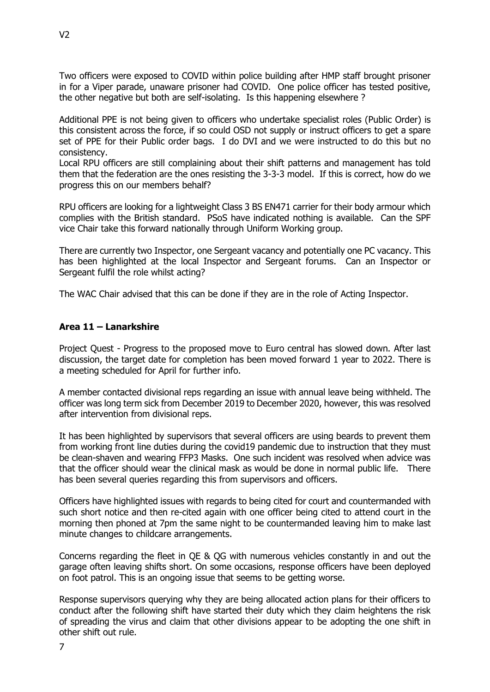Two officers were exposed to COVID within police building after HMP staff brought prisoner in for a Viper parade, unaware prisoner had COVID. One police officer has tested positive, the other negative but both are self-isolating. Is this happening elsewhere ?

Additional PPE is not being given to officers who undertake specialist roles (Public Order) is this consistent across the force, if so could OSD not supply or instruct officers to get a spare set of PPE for their Public order bags. I do DVI and we were instructed to do this but no consistency.

Local RPU officers are still complaining about their shift patterns and management has told them that the federation are the ones resisting the 3-3-3 model. If this is correct, how do we progress this on our members behalf?

RPU officers are looking for a lightweight Class 3 BS EN471 carrier for their body armour which complies with the British standard. PSoS have indicated nothing is available. Can the SPF vice Chair take this forward nationally through Uniform Working group.

There are currently two Inspector, one Sergeant vacancy and potentially one PC vacancy. This has been highlighted at the local Inspector and Sergeant forums. Can an Inspector or Sergeant fulfil the role whilst acting?

The WAC Chair advised that this can be done if they are in the role of Acting Inspector.

### **Area 11 – Lanarkshire**

Project Quest - Progress to the proposed move to Euro central has slowed down. After last discussion, the target date for completion has been moved forward 1 year to 2022. There is a meeting scheduled for April for further info.

A member contacted divisional reps regarding an issue with annual leave being withheld. The officer was long term sick from December 2019 to December 2020, however, this was resolved after intervention from divisional reps.

It has been highlighted by supervisors that several officers are using beards to prevent them from working front line duties during the covid19 pandemic due to instruction that they must be clean-shaven and wearing FFP3 Masks. One such incident was resolved when advice was that the officer should wear the clinical mask as would be done in normal public life. There has been several queries regarding this from supervisors and officers.

Officers have highlighted issues with regards to being cited for court and countermanded with such short notice and then re-cited again with one officer being cited to attend court in the morning then phoned at 7pm the same night to be countermanded leaving him to make last minute changes to childcare arrangements.

Concerns regarding the fleet in QE & QG with numerous vehicles constantly in and out the garage often leaving shifts short. On some occasions, response officers have been deployed on foot patrol. This is an ongoing issue that seems to be getting worse.

Response supervisors querying why they are being allocated action plans for their officers to conduct after the following shift have started their duty which they claim heightens the risk of spreading the virus and claim that other divisions appear to be adopting the one shift in other shift out rule.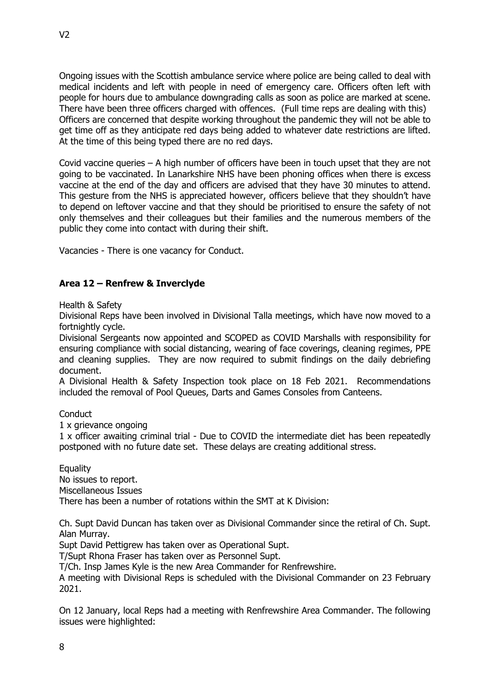Ongoing issues with the Scottish ambulance service where police are being called to deal with medical incidents and left with people in need of emergency care. Officers often left with people for hours due to ambulance downgrading calls as soon as police are marked at scene. There have been three officers charged with offences. (Full time reps are dealing with this) Officers are concerned that despite working throughout the pandemic they will not be able to get time off as they anticipate red days being added to whatever date restrictions are lifted. At the time of this being typed there are no red days.

Covid vaccine queries – A high number of officers have been in touch upset that they are not going to be vaccinated. In Lanarkshire NHS have been phoning offices when there is excess vaccine at the end of the day and officers are advised that they have 30 minutes to attend. This gesture from the NHS is appreciated however, officers believe that they shouldn't have to depend on leftover vaccine and that they should be prioritised to ensure the safety of not only themselves and their colleagues but their families and the numerous members of the public they come into contact with during their shift.

Vacancies - There is one vacancy for Conduct.

# **Area 12 – Renfrew & Inverclyde**

Health & Safety

Divisional Reps have been involved in Divisional Talla meetings, which have now moved to a fortnightly cycle.

Divisional Sergeants now appointed and SCOPED as COVID Marshalls with responsibility for ensuring compliance with social distancing, wearing of face coverings, cleaning regimes, PPE and cleaning supplies. They are now required to submit findings on the daily debriefing document.

A Divisional Health & Safety Inspection took place on 18 Feb 2021. Recommendations included the removal of Pool Queues, Darts and Games Consoles from Canteens.

**Conduct** 

1 x grievance ongoing

1 x officer awaiting criminal trial - Due to COVID the intermediate diet has been repeatedly postponed with no future date set. These delays are creating additional stress.

**Equality** No issues to report. Miscellaneous Issues There has been a number of rotations within the SMT at K Division:

Ch. Supt David Duncan has taken over as Divisional Commander since the retiral of Ch. Supt. Alan Murray.

Supt David Pettigrew has taken over as Operational Supt.

T/Supt Rhona Fraser has taken over as Personnel Supt.

T/Ch. Insp James Kyle is the new Area Commander for Renfrewshire.

A meeting with Divisional Reps is scheduled with the Divisional Commander on 23 February 2021.

On 12 January, local Reps had a meeting with Renfrewshire Area Commander. The following issues were highlighted: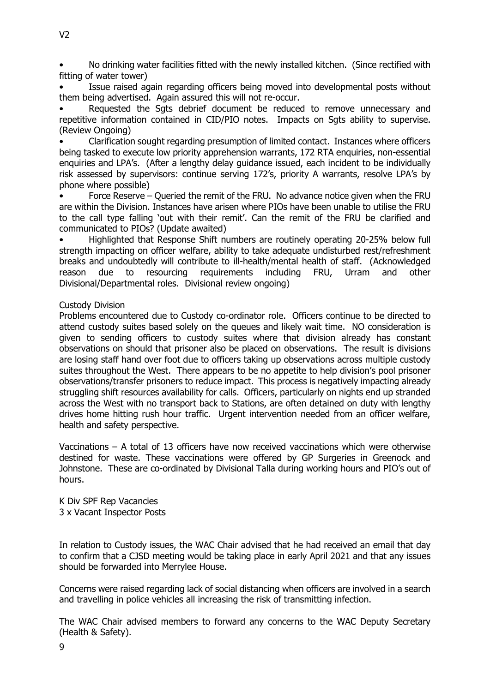• No drinking water facilities fitted with the newly installed kitchen. (Since rectified with fitting of water tower)

Issue raised again regarding officers being moved into developmental posts without them being advertised. Again assured this will not re-occur.

Requested the Sats debrief document be reduced to remove unnecessary and repetitive information contained in CID/PIO notes. Impacts on Sats ability to supervise. (Review Ongoing)

• Clarification sought regarding presumption of limited contact. Instances where officers being tasked to execute low priority apprehension warrants, 172 RTA enquiries, non-essential enquiries and LPA's. (After a lengthy delay guidance issued, each incident to be individually risk assessed by supervisors: continue serving 172's, priority A warrants, resolve LPA's by phone where possible)

• Force Reserve – Queried the remit of the FRU. No advance notice given when the FRU are within the Division. Instances have arisen where PIOs have been unable to utilise the FRU to the call type falling 'out with their remit'. Can the remit of the FRU be clarified and communicated to PIOs? (Update awaited)

• Highlighted that Response Shift numbers are routinely operating 20-25% below full strength impacting on officer welfare, ability to take adequate undisturbed rest/refreshment breaks and undoubtedly will contribute to ill-health/mental health of staff. (Acknowledged reason due to resourcing requirements including FRU, Urram and other Divisional/Departmental roles. Divisional review ongoing)

### Custody Division

Problems encountered due to Custody co-ordinator role. Officers continue to be directed to attend custody suites based solely on the queues and likely wait time. NO consideration is given to sending officers to custody suites where that division already has constant observations on should that prisoner also be placed on observations. The result is divisions are losing staff hand over foot due to officers taking up observations across multiple custody suites throughout the West. There appears to be no appetite to help division's pool prisoner observations/transfer prisoners to reduce impact. This process is negatively impacting already struggling shift resources availability for calls. Officers, particularly on nights end up stranded across the West with no transport back to Stations, are often detained on duty with lengthy drives home hitting rush hour traffic. Urgent intervention needed from an officer welfare, health and safety perspective.

Vaccinations – A total of 13 officers have now received vaccinations which were otherwise destined for waste. These vaccinations were offered by GP Surgeries in Greenock and Johnstone. These are co-ordinated by Divisional Talla during working hours and PIO's out of hours.

K Div SPF Rep Vacancies 3 x Vacant Inspector Posts

In relation to Custody issues, the WAC Chair advised that he had received an email that day to confirm that a CJSD meeting would be taking place in early April 2021 and that any issues should be forwarded into Merrylee House.

Concerns were raised regarding lack of social distancing when officers are involved in a search and travelling in police vehicles all increasing the risk of transmitting infection.

The WAC Chair advised members to forward any concerns to the WAC Deputy Secretary (Health & Safety).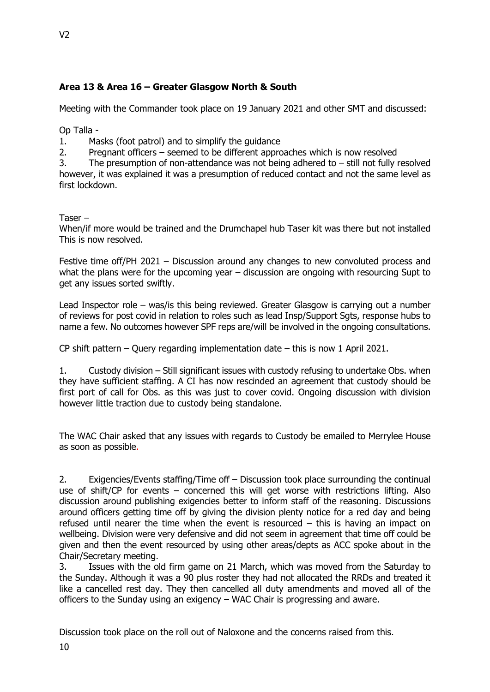# **Area 13 & Area 16 – Greater Glasgow North & South**

Meeting with the Commander took place on 19 January 2021 and other SMT and discussed:

Op Talla -

1. Masks (foot patrol) and to simplify the guidance

2. Pregnant officers – seemed to be different approaches which is now resolved

3. The presumption of non-attendance was not being adhered to – still not fully resolved however, it was explained it was a presumption of reduced contact and not the same level as first lockdown.

Taser –

When/if more would be trained and the Drumchapel hub Taser kit was there but not installed This is now resolved.

Festive time off/PH 2021 – Discussion around any changes to new convoluted process and what the plans were for the upcoming year – discussion are ongoing with resourcing Supt to get any issues sorted swiftly.

Lead Inspector role – was/is this being reviewed. Greater Glasgow is carrying out a number of reviews for post covid in relation to roles such as lead Insp/Support Sgts, response hubs to name a few. No outcomes however SPF reps are/will be involved in the ongoing consultations.

CP shift pattern – Query regarding implementation date – this is now 1 April 2021.

1. Custody division – Still significant issues with custody refusing to undertake Obs. when they have sufficient staffing. A CI has now rescinded an agreement that custody should be first port of call for Obs. as this was just to cover covid. Ongoing discussion with division however little traction due to custody being standalone.

The WAC Chair asked that any issues with regards to Custody be emailed to Merrylee House as soon as possible.

2. Exigencies/Events staffing/Time off – Discussion took place surrounding the continual use of shift/CP for events – concerned this will get worse with restrictions lifting. Also discussion around publishing exigencies better to inform staff of the reasoning. Discussions around officers getting time off by giving the division plenty notice for a red day and being refused until nearer the time when the event is resourced – this is having an impact on wellbeing. Division were very defensive and did not seem in agreement that time off could be given and then the event resourced by using other areas/depts as ACC spoke about in the Chair/Secretary meeting.

3. Issues with the old firm game on 21 March, which was moved from the Saturday to the Sunday. Although it was a 90 plus roster they had not allocated the RRDs and treated it like a cancelled rest day. They then cancelled all duty amendments and moved all of the officers to the Sunday using an exigency – WAC Chair is progressing and aware.

Discussion took place on the roll out of Naloxone and the concerns raised from this.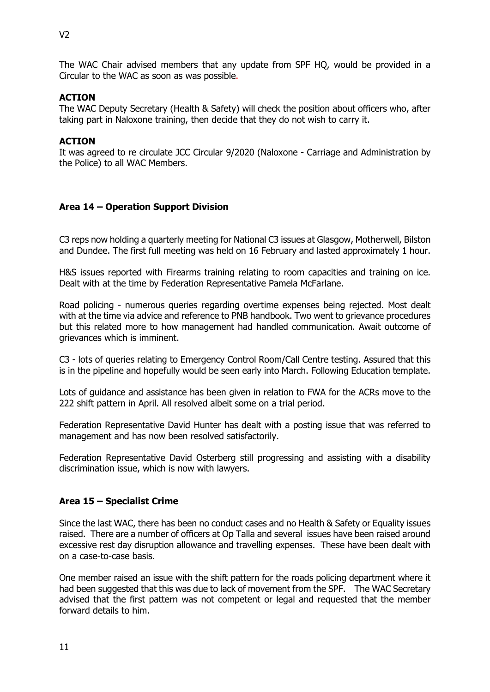The WAC Chair advised members that any update from SPF HQ, would be provided in a Circular to the WAC as soon as was possible.

### **ACTION**

The WAC Deputy Secretary (Health & Safety) will check the position about officers who, after taking part in Naloxone training, then decide that they do not wish to carry it.

### **ACTION**

It was agreed to re circulate JCC Circular 9/2020 (Naloxone - Carriage and Administration by the Police) to all WAC Members.

# **Area 14 – Operation Support Division**

C3 reps now holding a quarterly meeting for National C3 issues at Glasgow, Motherwell, Bilston and Dundee. The first full meeting was held on 16 February and lasted approximately 1 hour.

H&S issues reported with Firearms training relating to room capacities and training on ice. Dealt with at the time by Federation Representative Pamela McFarlane.

Road policing - numerous queries regarding overtime expenses being rejected. Most dealt with at the time via advice and reference to PNB handbook. Two went to grievance procedures but this related more to how management had handled communication. Await outcome of grievances which is imminent.

C3 - lots of queries relating to Emergency Control Room/Call Centre testing. Assured that this is in the pipeline and hopefully would be seen early into March. Following Education template.

Lots of guidance and assistance has been given in relation to FWA for the ACRs move to the 222 shift pattern in April. All resolved albeit some on a trial period.

Federation Representative David Hunter has dealt with a posting issue that was referred to management and has now been resolved satisfactorily.

Federation Representative David Osterberg still progressing and assisting with a disability discrimination issue, which is now with lawyers.

### **Area 15 – Specialist Crime**

Since the last WAC, there has been no conduct cases and no Health & Safety or Equality issues raised. There are a number of officers at Op Talla and several issues have been raised around excessive rest day disruption allowance and travelling expenses. These have been dealt with on a case-to-case basis.

One member raised an issue with the shift pattern for the roads policing department where it had been suggested that this was due to lack of movement from the SPF. The WAC Secretary advised that the first pattern was not competent or legal and requested that the member forward details to him.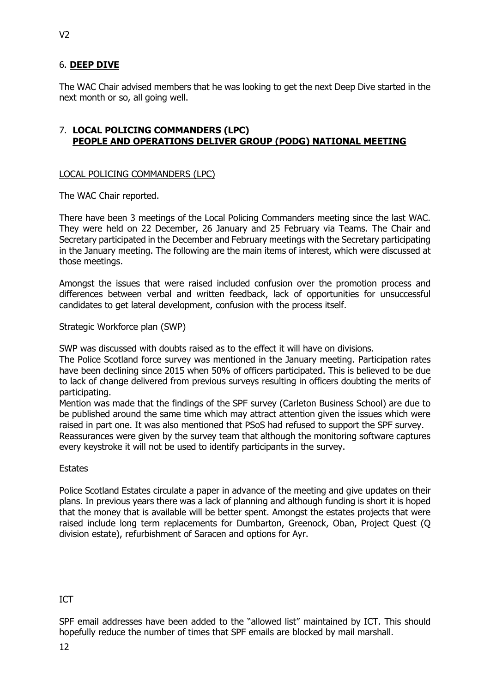# 6. **DEEP DIVE**

The WAC Chair advised members that he was looking to get the next Deep Dive started in the next month or so, all going well.

### 7. **LOCAL POLICING COMMANDERS (LPC) PEOPLE AND OPERATIONS DELIVER GROUP (PODG) NATIONAL MEETING**

### LOCAL POLICING COMMANDERS (LPC)

The WAC Chair reported.

There have been 3 meetings of the Local Policing Commanders meeting since the last WAC. They were held on 22 December, 26 January and 25 February via Teams. The Chair and Secretary participated in the December and February meetings with the Secretary participating in the January meeting. The following are the main items of interest, which were discussed at those meetings.

Amongst the issues that were raised included confusion over the promotion process and differences between verbal and written feedback, lack of opportunities for unsuccessful candidates to get lateral development, confusion with the process itself.

Strategic Workforce plan (SWP)

SWP was discussed with doubts raised as to the effect it will have on divisions.

The Police Scotland force survey was mentioned in the January meeting. Participation rates have been declining since 2015 when 50% of officers participated. This is believed to be due to lack of change delivered from previous surveys resulting in officers doubting the merits of participating.

Mention was made that the findings of the SPF survey (Carleton Business School) are due to be published around the same time which may attract attention given the issues which were raised in part one. It was also mentioned that PSoS had refused to support the SPF survey.

Reassurances were given by the survey team that although the monitoring software captures every keystroke it will not be used to identify participants in the survey.

### **Estates**

Police Scotland Estates circulate a paper in advance of the meeting and give updates on their plans. In previous years there was a lack of planning and although funding is short it is hoped that the money that is available will be better spent. Amongst the estates projects that were raised include long term replacements for Dumbarton, Greenock, Oban, Project Quest (Q division estate), refurbishment of Saracen and options for Ayr.

# ICT

SPF email addresses have been added to the "allowed list" maintained by ICT. This should hopefully reduce the number of times that SPF emails are blocked by mail marshall.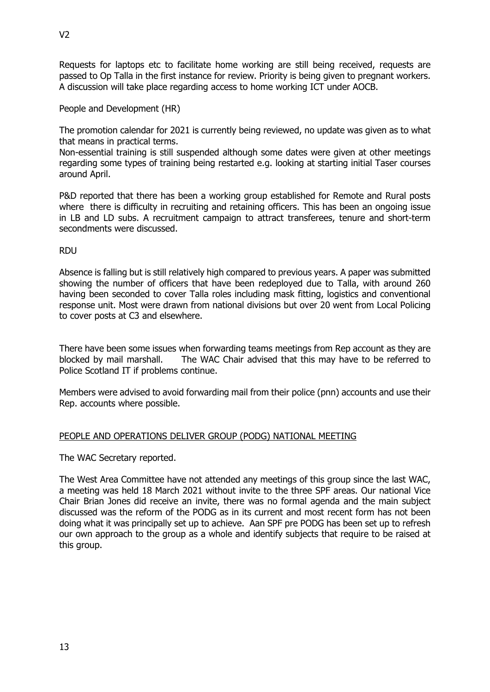Requests for laptops etc to facilitate home working are still being received, requests are passed to Op Talla in the first instance for review. Priority is being given to pregnant workers. A discussion will take place regarding access to home working ICT under AOCB.

People and Development (HR)

The promotion calendar for 2021 is currently being reviewed, no update was given as to what that means in practical terms.

Non-essential training is still suspended although some dates were given at other meetings regarding some types of training being restarted e.g. looking at starting initial Taser courses around April.

P&D reported that there has been a working group established for Remote and Rural posts where there is difficulty in recruiting and retaining officers. This has been an ongoing issue in LB and LD subs. A recruitment campaign to attract transferees, tenure and short-term secondments were discussed.

RDU

Absence is falling but is still relatively high compared to previous years. A paper was submitted showing the number of officers that have been redeployed due to Talla, with around 260 having been seconded to cover Talla roles including mask fitting, logistics and conventional response unit. Most were drawn from national divisions but over 20 went from Local Policing to cover posts at C3 and elsewhere.

There have been some issues when forwarding teams meetings from Rep account as they are blocked by mail marshall. The WAC Chair advised that this may have to be referred to Police Scotland IT if problems continue.

Members were advised to avoid forwarding mail from their police (pnn) accounts and use their Rep. accounts where possible.

# PEOPLE AND OPERATIONS DELIVER GROUP (PODG) NATIONAL MEETING

The WAC Secretary reported.

The West Area Committee have not attended any meetings of this group since the last WAC, a meeting was held 18 March 2021 without invite to the three SPF areas. Our national Vice Chair Brian Jones did receive an invite, there was no formal agenda and the main subject discussed was the reform of the PODG as in its current and most recent form has not been doing what it was principally set up to achieve. Aan SPF pre PODG has been set up to refresh our own approach to the group as a whole and identify subjects that require to be raised at this group.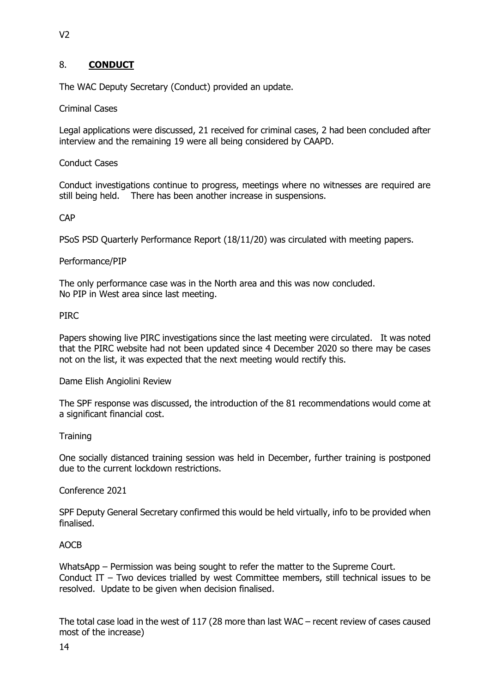# 8. **CONDUCT**

The WAC Deputy Secretary (Conduct) provided an update.

Criminal Cases

Legal applications were discussed, 21 received for criminal cases, 2 had been concluded after interview and the remaining 19 were all being considered by CAAPD.

### Conduct Cases

Conduct investigations continue to progress, meetings where no witnesses are required are still being held. There has been another increase in suspensions.

### CAP

PSoS PSD Quarterly Performance Report (18/11/20) was circulated with meeting papers.

### Performance/PIP

The only performance case was in the North area and this was now concluded. No PIP in West area since last meeting.

### PIRC

Papers showing live PIRC investigations since the last meeting were circulated. It was noted that the PIRC website had not been updated since 4 December 2020 so there may be cases not on the list, it was expected that the next meeting would rectify this.

Dame Elish Angiolini Review

The SPF response was discussed, the introduction of the 81 recommendations would come at a significant financial cost.

### **Training**

One socially distanced training session was held in December, further training is postponed due to the current lockdown restrictions.

### Conference 2021

SPF Deputy General Secretary confirmed this would be held virtually, info to be provided when finalised.

### AOCB

WhatsApp – Permission was being sought to refer the matter to the Supreme Court. Conduct IT – Two devices trialled by west Committee members, still technical issues to be resolved. Update to be given when decision finalised.

The total case load in the west of 117 (28 more than last WAC – recent review of cases caused most of the increase)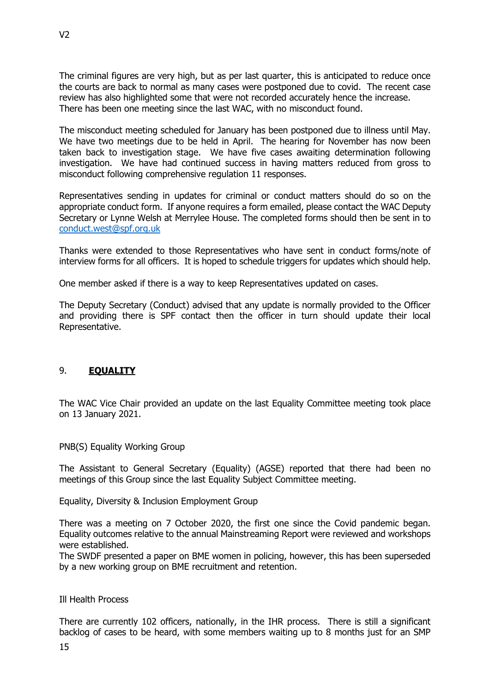The criminal figures are very high, but as per last quarter, this is anticipated to reduce once the courts are back to normal as many cases were postponed due to covid. The recent case review has also highlighted some that were not recorded accurately hence the increase. There has been one meeting since the last WAC, with no misconduct found.

The misconduct meeting scheduled for January has been postponed due to illness until May. We have two meetings due to be held in April. The hearing for November has now been taken back to investigation stage. We have five cases awaiting determination following investigation. We have had continued success in having matters reduced from gross to misconduct following comprehensive regulation 11 responses.

Representatives sending in updates for criminal or conduct matters should do so on the appropriate conduct form. If anyone requires a form emailed, please contact the WAC Deputy Secretary or Lynne Welsh at Merrylee House. The completed forms should then be sent in to [conduct.west@spf.org.uk](mailto:conduct.west@spf.org.uk)

Thanks were extended to those Representatives who have sent in conduct forms/note of interview forms for all officers. It is hoped to schedule triggers for updates which should help.

One member asked if there is a way to keep Representatives updated on cases.

The Deputy Secretary (Conduct) advised that any update is normally provided to the Officer and providing there is SPF contact then the officer in turn should update their local Representative.

# 9. **EQUALITY**

The WAC Vice Chair provided an update on the last Equality Committee meeting took place on 13 January 2021.

PNB(S) Equality Working Group

The Assistant to General Secretary (Equality) (AGSE) reported that there had been no meetings of this Group since the last Equality Subject Committee meeting.

Equality, Diversity & Inclusion Employment Group

There was a meeting on 7 October 2020, the first one since the Covid pandemic began. Equality outcomes relative to the annual Mainstreaming Report were reviewed and workshops were established.

The SWDF presented a paper on BME women in policing, however, this has been superseded by a new working group on BME recruitment and retention.

### Ill Health Process

There are currently 102 officers, nationally, in the IHR process. There is still a significant backlog of cases to be heard, with some members waiting up to 8 months just for an SMP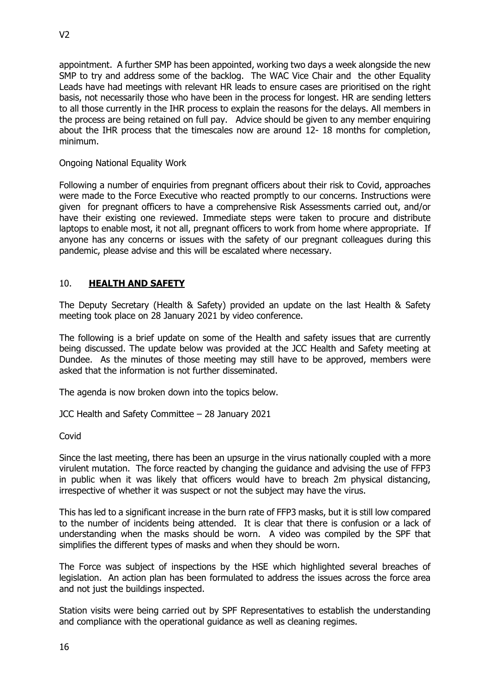appointment. A further SMP has been appointed, working two days a week alongside the new SMP to try and address some of the backlog. The WAC Vice Chair and the other Equality Leads have had meetings with relevant HR leads to ensure cases are prioritised on the right basis, not necessarily those who have been in the process for longest. HR are sending letters to all those currently in the IHR process to explain the reasons for the delays. All members in the process are being retained on full pay. Advice should be given to any member enquiring about the IHR process that the timescales now are around 12- 18 months for completion, minimum.

# Ongoing National Equality Work

Following a number of enquiries from pregnant officers about their risk to Covid, approaches were made to the Force Executive who reacted promptly to our concerns. Instructions were given for pregnant officers to have a comprehensive Risk Assessments carried out, and/or have their existing one reviewed. Immediate steps were taken to procure and distribute laptops to enable most, it not all, pregnant officers to work from home where appropriate. If anyone has any concerns or issues with the safety of our pregnant colleagues during this pandemic, please advise and this will be escalated where necessary.

# 10. **HEALTH AND SAFETY**

The Deputy Secretary (Health & Safety) provided an update on the last Health & Safety meeting took place on 28 January 2021 by video conference.

The following is a brief update on some of the Health and safety issues that are currently being discussed. The update below was provided at the JCC Health and Safety meeting at Dundee. As the minutes of those meeting may still have to be approved, members were asked that the information is not further disseminated.

The agenda is now broken down into the topics below.

JCC Health and Safety Committee – 28 January 2021

Covid

Since the last meeting, there has been an upsurge in the virus nationally coupled with a more virulent mutation. The force reacted by changing the guidance and advising the use of FFP3 in public when it was likely that officers would have to breach 2m physical distancing, irrespective of whether it was suspect or not the subject may have the virus.

This has led to a significant increase in the burn rate of FFP3 masks, but it is still low compared to the number of incidents being attended. It is clear that there is confusion or a lack of understanding when the masks should be worn. A video was compiled by the SPF that simplifies the different types of masks and when they should be worn.

The Force was subject of inspections by the HSE which highlighted several breaches of legislation. An action plan has been formulated to address the issues across the force area and not just the buildings inspected.

Station visits were being carried out by SPF Representatives to establish the understanding and compliance with the operational guidance as well as cleaning regimes.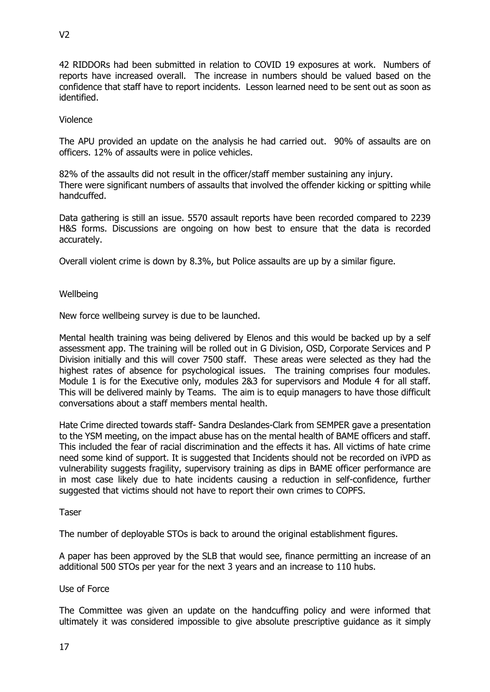42 RIDDORs had been submitted in relation to COVID 19 exposures at work. Numbers of reports have increased overall. The increase in numbers should be valued based on the confidence that staff have to report incidents. Lesson learned need to be sent out as soon as identified.

### Violence

The APU provided an update on the analysis he had carried out. 90% of assaults are on officers. 12% of assaults were in police vehicles.

82% of the assaults did not result in the officer/staff member sustaining any injury. There were significant numbers of assaults that involved the offender kicking or spitting while handcuffed.

Data gathering is still an issue. 5570 assault reports have been recorded compared to 2239 H&S forms. Discussions are ongoing on how best to ensure that the data is recorded accurately.

Overall violent crime is down by 8.3%, but Police assaults are up by a similar figure.

### Wellbeing

New force wellbeing survey is due to be launched.

Mental health training was being delivered by Elenos and this would be backed up by a self assessment app. The training will be rolled out in G Division, OSD, Corporate Services and P Division initially and this will cover 7500 staff. These areas were selected as they had the highest rates of absence for psychological issues. The training comprises four modules. Module 1 is for the Executive only, modules 2&3 for supervisors and Module 4 for all staff. This will be delivered mainly by Teams. The aim is to equip managers to have those difficult conversations about a staff members mental health.

Hate Crime directed towards staff- Sandra Deslandes-Clark from SEMPER gave a presentation to the YSM meeting, on the impact abuse has on the mental health of BAME officers and staff. This included the fear of racial discrimination and the effects it has. All victims of hate crime need some kind of support. It is suggested that Incidents should not be recorded on iVPD as vulnerability suggests fragility, supervisory training as dips in BAME officer performance are in most case likely due to hate incidents causing a reduction in self-confidence, further suggested that victims should not have to report their own crimes to COPFS.

### Taser

The number of deployable STOs is back to around the original establishment figures.

A paper has been approved by the SLB that would see, finance permitting an increase of an additional 500 STOs per year for the next 3 years and an increase to 110 hubs.

### Use of Force

The Committee was given an update on the handcuffing policy and were informed that ultimately it was considered impossible to give absolute prescriptive guidance as it simply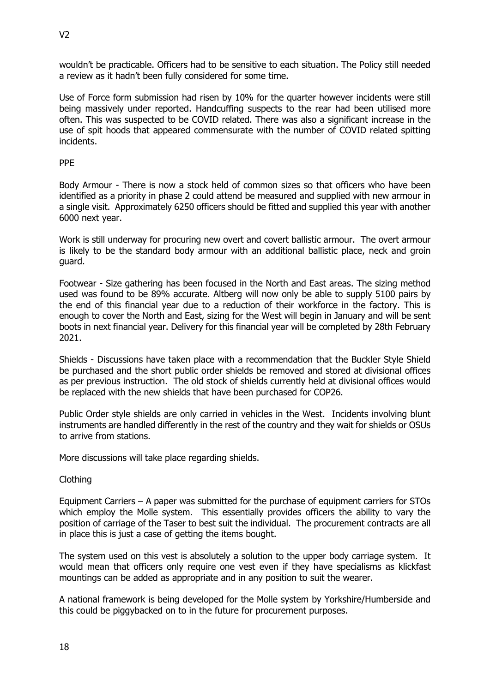wouldn't be practicable. Officers had to be sensitive to each situation. The Policy still needed a review as it hadn't been fully considered for some time.

Use of Force form submission had risen by 10% for the quarter however incidents were still being massively under reported. Handcuffing suspects to the rear had been utilised more often. This was suspected to be COVID related. There was also a significant increase in the use of spit hoods that appeared commensurate with the number of COVID related spitting incidents.

### PPE

Body Armour - There is now a stock held of common sizes so that officers who have been identified as a priority in phase 2 could attend be measured and supplied with new armour in a single visit. Approximately 6250 officers should be fitted and supplied this year with another 6000 next year.

Work is still underway for procuring new overt and covert ballistic armour. The overt armour is likely to be the standard body armour with an additional ballistic place, neck and groin guard.

Footwear - Size gathering has been focused in the North and East areas. The sizing method used was found to be 89% accurate. Altberg will now only be able to supply 5100 pairs by the end of this financial year due to a reduction of their workforce in the factory. This is enough to cover the North and East, sizing for the West will begin in January and will be sent boots in next financial year. Delivery for this financial year will be completed by 28th February 2021.

Shields - Discussions have taken place with a recommendation that the Buckler Style Shield be purchased and the short public order shields be removed and stored at divisional offices as per previous instruction. The old stock of shields currently held at divisional offices would be replaced with the new shields that have been purchased for COP26.

Public Order style shields are only carried in vehicles in the West. Incidents involving blunt instruments are handled differently in the rest of the country and they wait for shields or OSUs to arrive from stations.

More discussions will take place regarding shields.

# Clothing

Equipment Carriers – A paper was submitted for the purchase of equipment carriers for STOs which employ the Molle system. This essentially provides officers the ability to vary the position of carriage of the Taser to best suit the individual. The procurement contracts are all in place this is just a case of getting the items bought.

The system used on this vest is absolutely a solution to the upper body carriage system. It would mean that officers only require one vest even if they have specialisms as klickfast mountings can be added as appropriate and in any position to suit the wearer.

A national framework is being developed for the Molle system by Yorkshire/Humberside and this could be piggybacked on to in the future for procurement purposes.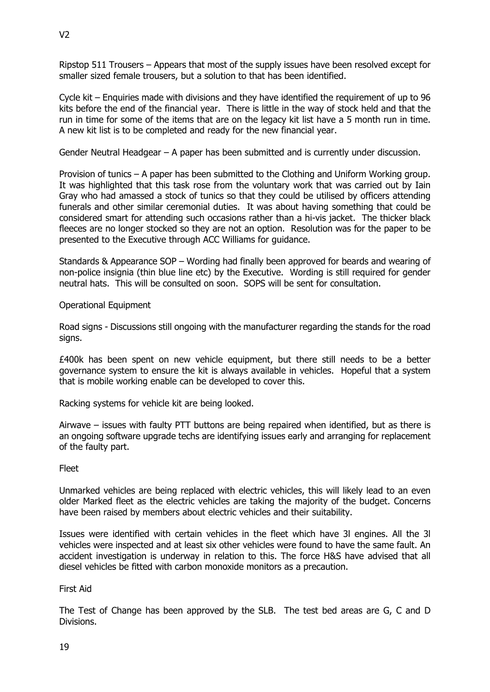Ripstop 511 Trousers – Appears that most of the supply issues have been resolved except for smaller sized female trousers, but a solution to that has been identified.

Cycle kit – Enquiries made with divisions and they have identified the requirement of up to 96 kits before the end of the financial year. There is little in the way of stock held and that the run in time for some of the items that are on the legacy kit list have a 5 month run in time. A new kit list is to be completed and ready for the new financial year.

Gender Neutral Headgear – A paper has been submitted and is currently under discussion.

Provision of tunics – A paper has been submitted to the Clothing and Uniform Working group. It was highlighted that this task rose from the voluntary work that was carried out by Iain Gray who had amassed a stock of tunics so that they could be utilised by officers attending funerals and other similar ceremonial duties. It was about having something that could be considered smart for attending such occasions rather than a hi-vis jacket. The thicker black fleeces are no longer stocked so they are not an option. Resolution was for the paper to be presented to the Executive through ACC Williams for guidance.

Standards & Appearance SOP – Wording had finally been approved for beards and wearing of non-police insignia (thin blue line etc) by the Executive. Wording is still required for gender neutral hats. This will be consulted on soon. SOPS will be sent for consultation.

Operational Equipment

Road signs - Discussions still ongoing with the manufacturer regarding the stands for the road sians.

£400k has been spent on new vehicle equipment, but there still needs to be a better governance system to ensure the kit is always available in vehicles. Hopeful that a system that is mobile working enable can be developed to cover this.

Racking systems for vehicle kit are being looked.

Airwave – issues with faulty PTT buttons are being repaired when identified, but as there is an ongoing software upgrade techs are identifying issues early and arranging for replacement of the faulty part.

Fleet

Unmarked vehicles are being replaced with electric vehicles, this will likely lead to an even older Marked fleet as the electric vehicles are taking the majority of the budget. Concerns have been raised by members about electric vehicles and their suitability.

Issues were identified with certain vehicles in the fleet which have 3l engines. All the 3l vehicles were inspected and at least six other vehicles were found to have the same fault. An accident investigation is underway in relation to this. The force H&S have advised that all diesel vehicles be fitted with carbon monoxide monitors as a precaution.

First Aid

The Test of Change has been approved by the SLB. The test bed areas are G, C and D Divisions.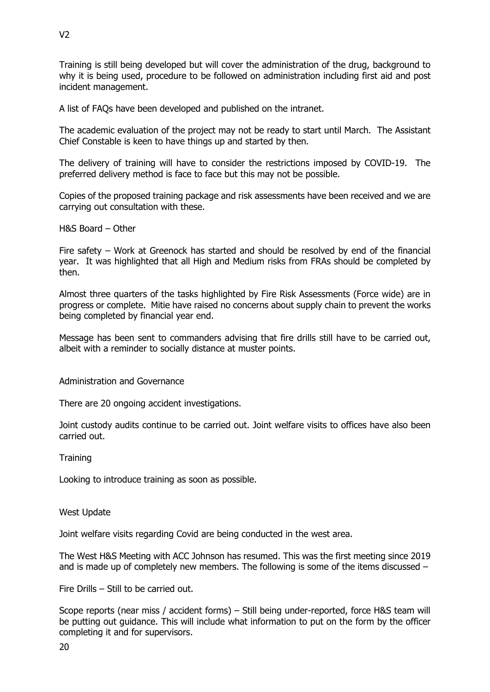Training is still being developed but will cover the administration of the drug, background to why it is being used, procedure to be followed on administration including first aid and post incident management.

A list of FAQs have been developed and published on the intranet.

The academic evaluation of the project may not be ready to start until March. The Assistant Chief Constable is keen to have things up and started by then.

The delivery of training will have to consider the restrictions imposed by COVID-19. The preferred delivery method is face to face but this may not be possible.

Copies of the proposed training package and risk assessments have been received and we are carrying out consultation with these.

H&S Board – Other

Fire safety – Work at Greenock has started and should be resolved by end of the financial year. It was highlighted that all High and Medium risks from FRAs should be completed by then.

Almost three quarters of the tasks highlighted by Fire Risk Assessments (Force wide) are in progress or complete. Mitie have raised no concerns about supply chain to prevent the works being completed by financial year end.

Message has been sent to commanders advising that fire drills still have to be carried out, albeit with a reminder to socially distance at muster points.

Administration and Governance

There are 20 ongoing accident investigations.

Joint custody audits continue to be carried out. Joint welfare visits to offices have also been carried out.

**Training** 

Looking to introduce training as soon as possible.

West Update

Joint welfare visits regarding Covid are being conducted in the west area.

The West H&S Meeting with ACC Johnson has resumed. This was the first meeting since 2019 and is made up of completely new members. The following is some of the items discussed –

Fire Drills – Still to be carried out.

Scope reports (near miss / accident forms) – Still being under-reported, force H&S team will be putting out guidance. This will include what information to put on the form by the officer completing it and for supervisors.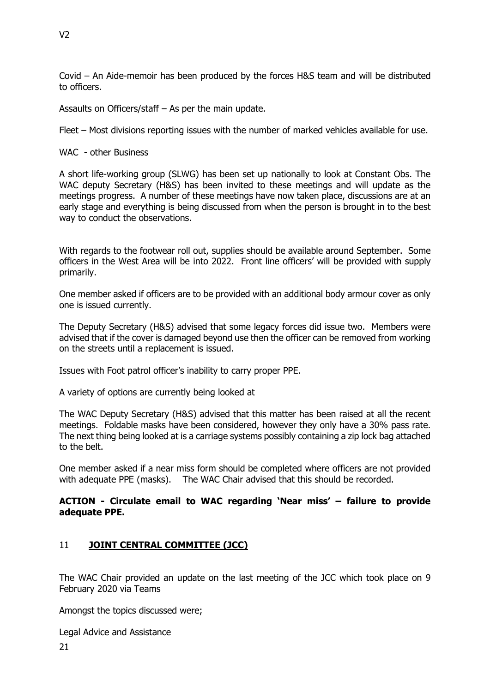Covid – An Aide-memoir has been produced by the forces H&S team and will be distributed to officers.

Assaults on Officers/staff – As per the main update.

Fleet – Most divisions reporting issues with the number of marked vehicles available for use.

WAC - other Business

A short life-working group (SLWG) has been set up nationally to look at Constant Obs. The WAC deputy Secretary (H&S) has been invited to these meetings and will update as the meetings progress. A number of these meetings have now taken place, discussions are at an early stage and everything is being discussed from when the person is brought in to the best way to conduct the observations.

With regards to the footwear roll out, supplies should be available around September. Some officers in the West Area will be into 2022. Front line officers' will be provided with supply primarily.

One member asked if officers are to be provided with an additional body armour cover as only one is issued currently.

The Deputy Secretary (H&S) advised that some legacy forces did issue two. Members were advised that if the cover is damaged beyond use then the officer can be removed from working on the streets until a replacement is issued.

Issues with Foot patrol officer's inability to carry proper PPE.

A variety of options are currently being looked at

The WAC Deputy Secretary (H&S) advised that this matter has been raised at all the recent meetings. Foldable masks have been considered, however they only have a 30% pass rate. The next thing being looked at is a carriage systems possibly containing a zip lock bag attached to the belt.

One member asked if a near miss form should be completed where officers are not provided with adequate PPE (masks). The WAC Chair advised that this should be recorded.

# **ACTION - Circulate email to WAC regarding 'Near miss' – failure to provide adequate PPE.**

# 11 **JOINT CENTRAL COMMITTEE (JCC)**

The WAC Chair provided an update on the last meeting of the JCC which took place on 9 February 2020 via Teams

Amongst the topics discussed were;

Legal Advice and Assistance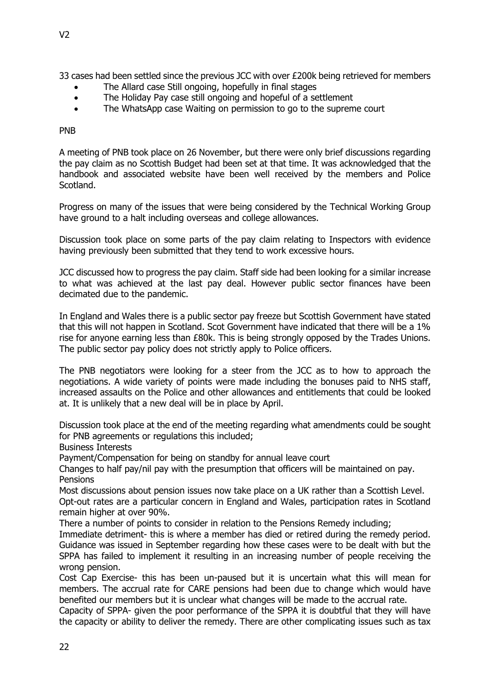33 cases had been settled since the previous JCC with over £200k being retrieved for members

- The Allard case Still ongoing, hopefully in final stages
- The Holiday Pay case still ongoing and hopeful of a settlement
- The WhatsApp case Waiting on permission to go to the supreme court

PNB

A meeting of PNB took place on 26 November, but there were only brief discussions regarding the pay claim as no Scottish Budget had been set at that time. It was acknowledged that the handbook and associated website have been well received by the members and Police Scotland.

Progress on many of the issues that were being considered by the Technical Working Group have ground to a halt including overseas and college allowances.

Discussion took place on some parts of the pay claim relating to Inspectors with evidence having previously been submitted that they tend to work excessive hours.

JCC discussed how to progress the pay claim. Staff side had been looking for a similar increase to what was achieved at the last pay deal. However public sector finances have been decimated due to the pandemic.

In England and Wales there is a public sector pay freeze but Scottish Government have stated that this will not happen in Scotland. Scot Government have indicated that there will be a 1% rise for anyone earning less than £80k. This is being strongly opposed by the Trades Unions. The public sector pay policy does not strictly apply to Police officers.

The PNB negotiators were looking for a steer from the JCC as to how to approach the negotiations. A wide variety of points were made including the bonuses paid to NHS staff, increased assaults on the Police and other allowances and entitlements that could be looked at. It is unlikely that a new deal will be in place by April.

Discussion took place at the end of the meeting regarding what amendments could be sought for PNB agreements or regulations this included;

Business Interests

Payment/Compensation for being on standby for annual leave court

Changes to half pay/nil pay with the presumption that officers will be maintained on pay. **Pensions** 

Most discussions about pension issues now take place on a UK rather than a Scottish Level. Opt-out rates are a particular concern in England and Wales, participation rates in Scotland remain higher at over 90%.

There a number of points to consider in relation to the Pensions Remedy including;

Immediate detriment- this is where a member has died or retired during the remedy period. Guidance was issued in September regarding how these cases were to be dealt with but the SPPA has failed to implement it resulting in an increasing number of people receiving the wrong pension.

Cost Cap Exercise- this has been un-paused but it is uncertain what this will mean for members. The accrual rate for CARE pensions had been due to change which would have benefited our members but it is unclear what changes will be made to the accrual rate.

Capacity of SPPA- given the poor performance of the SPPA it is doubtful that they will have the capacity or ability to deliver the remedy. There are other complicating issues such as tax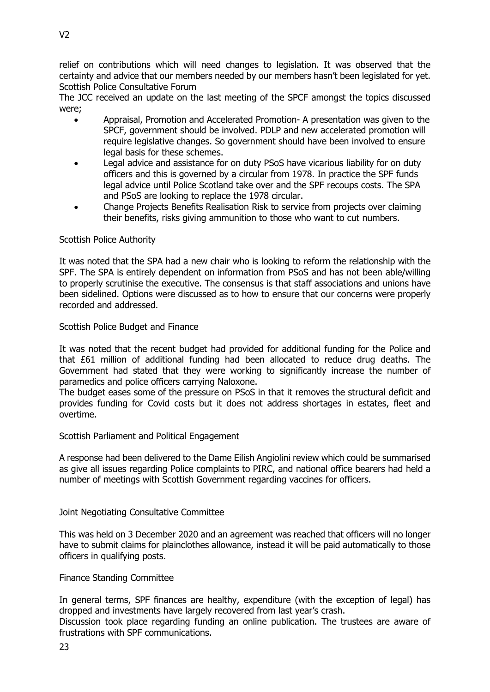relief on contributions which will need changes to legislation. It was observed that the certainty and advice that our members needed by our members hasn't been legislated for yet. Scottish Police Consultative Forum

The JCC received an update on the last meeting of the SPCF amongst the topics discussed were;

- Appraisal, Promotion and Accelerated Promotion- A presentation was given to the SPCF, government should be involved. PDLP and new accelerated promotion will require legislative changes. So government should have been involved to ensure legal basis for these schemes.
- Legal advice and assistance for on duty PSoS have vicarious liability for on duty officers and this is governed by a circular from 1978. In practice the SPF funds legal advice until Police Scotland take over and the SPF recoups costs. The SPA and PSoS are looking to replace the 1978 circular.
- Change Projects Benefits Realisation Risk to service from projects over claiming their benefits, risks giving ammunition to those who want to cut numbers.

### Scottish Police Authority

It was noted that the SPA had a new chair who is looking to reform the relationship with the SPF. The SPA is entirely dependent on information from PSoS and has not been able/willing to properly scrutinise the executive. The consensus is that staff associations and unions have been sidelined. Options were discussed as to how to ensure that our concerns were properly recorded and addressed.

### Scottish Police Budget and Finance

It was noted that the recent budget had provided for additional funding for the Police and that £61 million of additional funding had been allocated to reduce drug deaths. The Government had stated that they were working to significantly increase the number of paramedics and police officers carrying Naloxone.

The budget eases some of the pressure on PSoS in that it removes the structural deficit and provides funding for Covid costs but it does not address shortages in estates, fleet and overtime.

### Scottish Parliament and Political Engagement

A response had been delivered to the Dame Eilish Angiolini review which could be summarised as give all issues regarding Police complaints to PIRC, and national office bearers had held a number of meetings with Scottish Government regarding vaccines for officers.

### Joint Negotiating Consultative Committee

This was held on 3 December 2020 and an agreement was reached that officers will no longer have to submit claims for plainclothes allowance, instead it will be paid automatically to those officers in qualifying posts.

### Finance Standing Committee

In general terms, SPF finances are healthy, expenditure (with the exception of legal) has dropped and investments have largely recovered from last year's crash.

Discussion took place regarding funding an online publication. The trustees are aware of frustrations with SPF communications.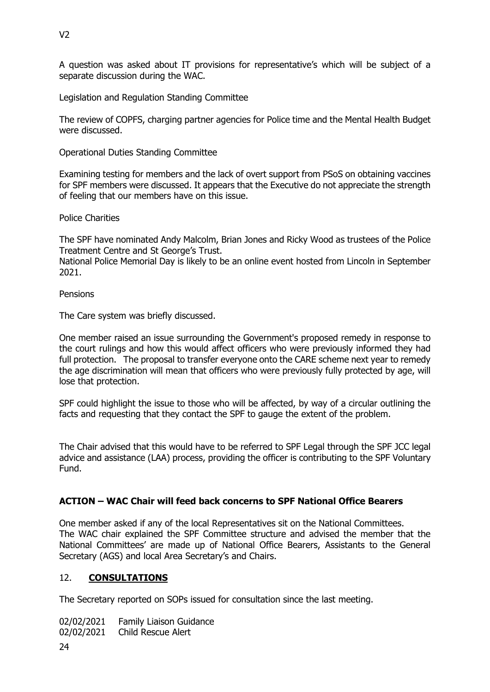A question was asked about IT provisions for representative's which will be subject of a separate discussion during the WAC.

Legislation and Regulation Standing Committee

The review of COPFS, charging partner agencies for Police time and the Mental Health Budget were discussed.

Operational Duties Standing Committee

Examining testing for members and the lack of overt support from PSoS on obtaining vaccines for SPF members were discussed. It appears that the Executive do not appreciate the strength of feeling that our members have on this issue.

Police Charities

The SPF have nominated Andy Malcolm, Brian Jones and Ricky Wood as trustees of the Police Treatment Centre and St George's Trust.

National Police Memorial Day is likely to be an online event hosted from Lincoln in September 2021.

**Pensions** 

The Care system was briefly discussed.

One member raised an issue surrounding the Government's proposed remedy in response to the court rulings and how this would affect officers who were previously informed they had full protection. The proposal to transfer everyone onto the CARE scheme next year to remedy the age discrimination will mean that officers who were previously fully protected by age, will lose that protection.

SPF could highlight the issue to those who will be affected, by way of a circular outlining the facts and requesting that they contact the SPF to gauge the extent of the problem.

The Chair advised that this would have to be referred to SPF Legal through the SPF JCC legal advice and assistance (LAA) process, providing the officer is contributing to the SPF Voluntary Fund.

# **ACTION – WAC Chair will feed back concerns to SPF National Office Bearers**

One member asked if any of the local Representatives sit on the National Committees. The WAC chair explained the SPF Committee structure and advised the member that the National Committees' are made up of National Office Bearers, Assistants to the General Secretary (AGS) and local Area Secretary's and Chairs.

# 12. **CONSULTATIONS**

The Secretary reported on SOPs issued for consultation since the last meeting.

02/02/2021 Family Liaison Guidance

02/02/2021 Child Rescue Alert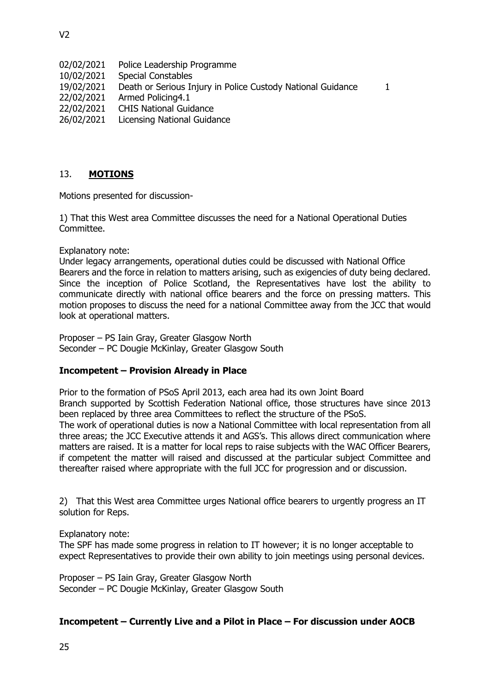- 02/02/2021 Police Leadership Programme
- 10/02/2021 Special Constables
- 19/02/2021 Death or Serious Injury in Police Custody National Guidance 1
- 22/02/2021 Armed Policing4.1
- 22/02/2021 CHIS National Guidance
- 26/02/2021 Licensing National Guidance

# 13. **MOTIONS**

Motions presented for discussion-

1) That this West area Committee discusses the need for a National Operational Duties Committee.

### Explanatory note:

Under legacy arrangements, operational duties could be discussed with National Office Bearers and the force in relation to matters arising, such as exigencies of duty being declared. Since the inception of Police Scotland, the Representatives have lost the ability to communicate directly with national office bearers and the force on pressing matters. This motion proposes to discuss the need for a national Committee away from the JCC that would look at operational matters.

Proposer – PS Iain Gray, Greater Glasgow North Seconder – PC Dougie McKinlay, Greater Glasgow South

# **Incompetent – Provision Already in Place**

Prior to the formation of PSoS April 2013, each area had its own Joint Board Branch supported by Scottish Federation National office, those structures have since 2013 been replaced by three area Committees to reflect the structure of the PSoS.

The work of operational duties is now a National Committee with local representation from all three areas; the JCC Executive attends it and AGS's. This allows direct communication where matters are raised. It is a matter for local reps to raise subjects with the WAC Officer Bearers, if competent the matter will raised and discussed at the particular subject Committee and thereafter raised where appropriate with the full JCC for progression and or discussion.

2) That this West area Committee urges National office bearers to urgently progress an IT solution for Reps.

Explanatory note:

The SPF has made some progress in relation to IT however; it is no longer acceptable to expect Representatives to provide their own ability to join meetings using personal devices.

Proposer – PS Iain Gray, Greater Glasgow North Seconder – PC Dougie McKinlay, Greater Glasgow South

# **Incompetent – Currently Live and a Pilot in Place – For discussion under AOCB**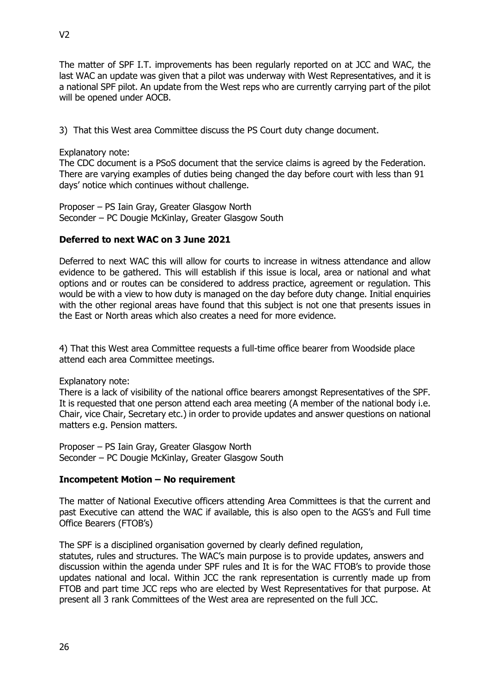The matter of SPF I.T. improvements has been regularly reported on at JCC and WAC, the last WAC an update was given that a pilot was underway with West Representatives, and it is a national SPF pilot. An update from the West reps who are currently carrying part of the pilot will be opened under AOCB.

3) That this West area Committee discuss the PS Court duty change document.

### Explanatory note:

The CDC document is a PSoS document that the service claims is agreed by the Federation. There are varying examples of duties being changed the day before court with less than 91 days' notice which continues without challenge.

Proposer – PS Iain Gray, Greater Glasgow North Seconder – PC Dougie McKinlay, Greater Glasgow South

### **Deferred to next WAC on 3 June 2021**

Deferred to next WAC this will allow for courts to increase in witness attendance and allow evidence to be gathered. This will establish if this issue is local, area or national and what options and or routes can be considered to address practice, agreement or regulation. This would be with a view to how duty is managed on the day before duty change. Initial enquiries with the other regional areas have found that this subject is not one that presents issues in the East or North areas which also creates a need for more evidence.

4) That this West area Committee requests a full-time office bearer from Woodside place attend each area Committee meetings.

### Explanatory note:

There is a lack of visibility of the national office bearers amongst Representatives of the SPF. It is requested that one person attend each area meeting (A member of the national body i.e. Chair, vice Chair, Secretary etc.) in order to provide updates and answer questions on national matters e.g. Pension matters.

Proposer – PS Iain Gray, Greater Glasgow North Seconder – PC Dougie McKinlay, Greater Glasgow South

### **Incompetent Motion – No requirement**

The matter of National Executive officers attending Area Committees is that the current and past Executive can attend the WAC if available, this is also open to the AGS's and Full time Office Bearers (FTOB's)

The SPF is a disciplined organisation governed by clearly defined regulation,

statutes, rules and structures. The WAC's main purpose is to provide updates, answers and discussion within the agenda under SPF rules and It is for the WAC FTOB's to provide those updates national and local. Within JCC the rank representation is currently made up from FTOB and part time JCC reps who are elected by West Representatives for that purpose. At present all 3 rank Committees of the West area are represented on the full JCC.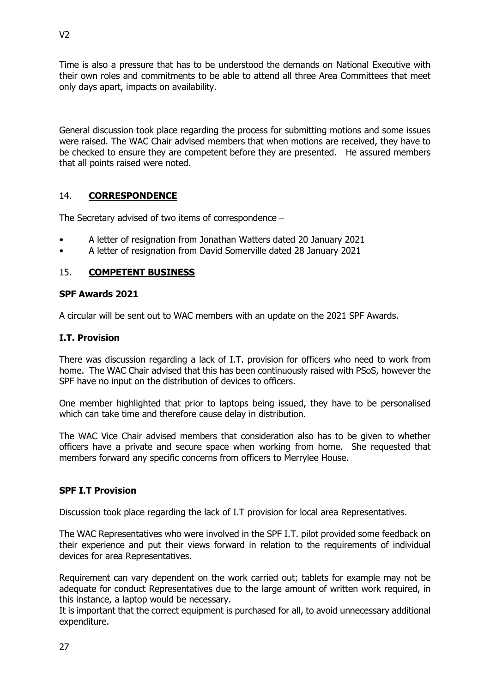Time is also a pressure that has to be understood the demands on National Executive with their own roles and commitments to be able to attend all three Area Committees that meet only days apart, impacts on availability.

General discussion took place regarding the process for submitting motions and some issues were raised. The WAC Chair advised members that when motions are received, they have to be checked to ensure they are competent before they are presented. He assured members that all points raised were noted.

# 14. **CORRESPONDENCE**

The Secretary advised of two items of correspondence –

- A letter of resignation from Jonathan Watters dated 20 January 2021
- A letter of resignation from David Somerville dated 28 January 2021

# 15. **COMPETENT BUSINESS**

### **SPF Awards 2021**

A circular will be sent out to WAC members with an update on the 2021 SPF Awards.

### **I.T. Provision**

There was discussion regarding a lack of I.T. provision for officers who need to work from home. The WAC Chair advised that this has been continuously raised with PSoS, however the SPF have no input on the distribution of devices to officers.

One member highlighted that prior to laptops being issued, they have to be personalised which can take time and therefore cause delay in distribution.

The WAC Vice Chair advised members that consideration also has to be given to whether officers have a private and secure space when working from home. She requested that members forward any specific concerns from officers to Merrylee House.

# **SPF I.T Provision**

Discussion took place regarding the lack of I.T provision for local area Representatives.

The WAC Representatives who were involved in the SPF I.T. pilot provided some feedback on their experience and put their views forward in relation to the requirements of individual devices for area Representatives.

Requirement can vary dependent on the work carried out; tablets for example may not be adequate for conduct Representatives due to the large amount of written work required, in this instance, a laptop would be necessary.

It is important that the correct equipment is purchased for all, to avoid unnecessary additional expenditure.